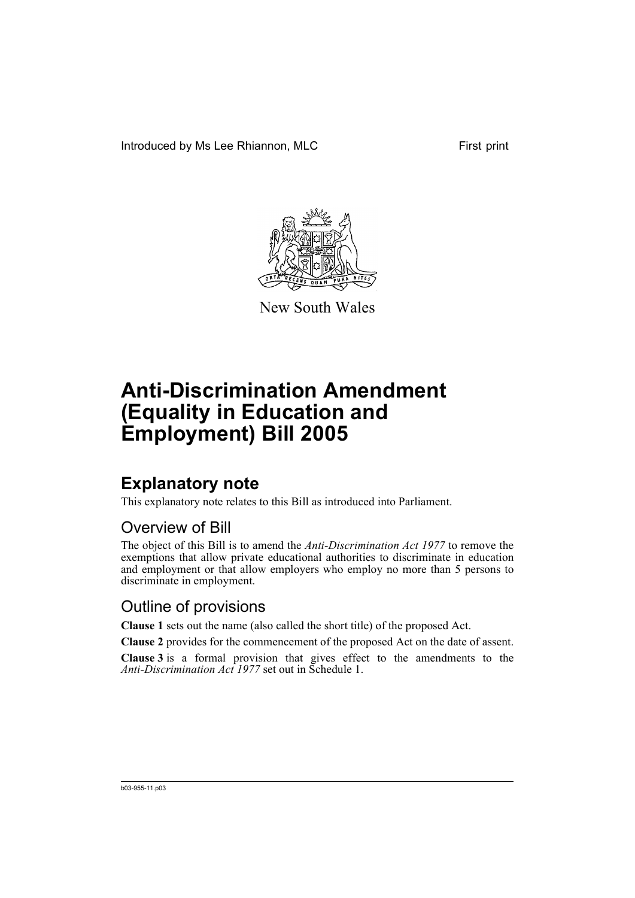Introduced by Ms Lee Rhiannon, MLC First print



New South Wales

# **Anti-Discrimination Amendment (Equality in Education and Employment) Bill 2005**

## **Explanatory note**

This explanatory note relates to this Bill as introduced into Parliament.

### Overview of Bill

The object of this Bill is to amend the *Anti-Discrimination Act 1977* to remove the exemptions that allow private educational authorities to discriminate in education and employment or that allow employers who employ no more than 5 persons to discriminate in employment.

### Outline of provisions

**Clause 1** sets out the name (also called the short title) of the proposed Act.

**Clause 2** provides for the commencement of the proposed Act on the date of assent.

**Clause 3** is a formal provision that gives effect to the amendments to the *Anti-Discrimination Act 1977* set out in Schedule 1.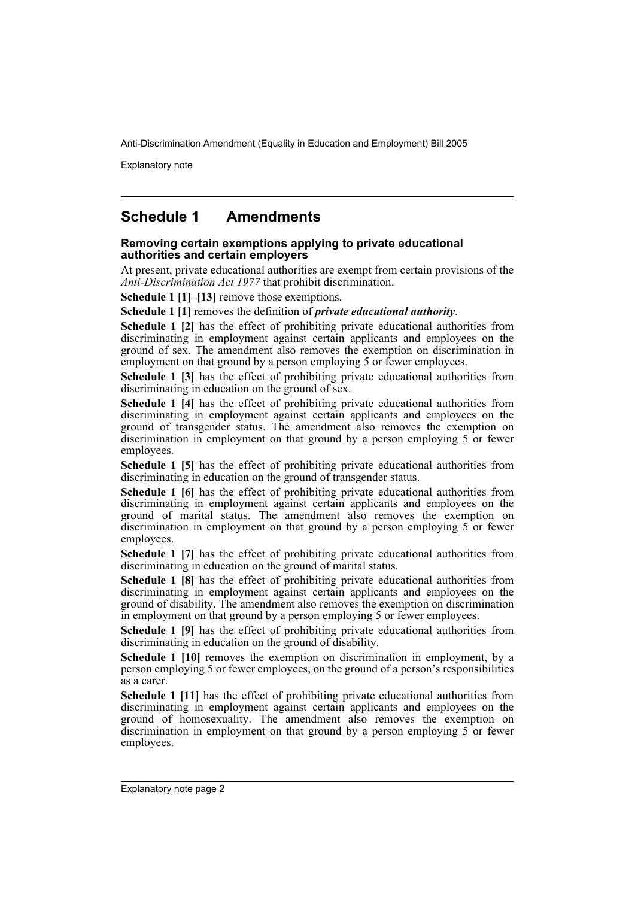Explanatory note

### **Schedule 1 Amendments**

#### **Removing certain exemptions applying to private educational authorities and certain employers**

At present, private educational authorities are exempt from certain provisions of the *Anti-Discrimination Act 1977* that prohibit discrimination.

**Schedule 1 [1]–[13]** remove those exemptions.

**Schedule 1 [1]** removes the definition of *private educational authority*.

**Schedule 1 [2]** has the effect of prohibiting private educational authorities from discriminating in employment against certain applicants and employees on the ground of sex. The amendment also removes the exemption on discrimination in employment on that ground by a person employing 5 or fewer employees.

**Schedule 1 [3]** has the effect of prohibiting private educational authorities from discriminating in education on the ground of sex.

**Schedule 1 [4]** has the effect of prohibiting private educational authorities from discriminating in employment against certain applicants and employees on the ground of transgender status. The amendment also removes the exemption on discrimination in employment on that ground by a person employing 5 or fewer employees.

**Schedule 1 [5]** has the effect of prohibiting private educational authorities from discriminating in education on the ground of transgender status.

**Schedule 1 [6]** has the effect of prohibiting private educational authorities from discriminating in employment against certain applicants and employees on the ground of marital status. The amendment also removes the exemption on discrimination in employment on that ground by a person employing  $5$  or fewer employees.

**Schedule 1 [7]** has the effect of prohibiting private educational authorities from discriminating in education on the ground of marital status.

**Schedule 1 [8]** has the effect of prohibiting private educational authorities from discriminating in employment against certain applicants and employees on the ground of disability. The amendment also removes the exemption on discrimination in employment on that ground by a person employing 5 or fewer employees.

**Schedule 1 [9]** has the effect of prohibiting private educational authorities from discriminating in education on the ground of disability.

**Schedule 1 [10]** removes the exemption on discrimination in employment, by a person employing 5 or fewer employees, on the ground of a person's responsibilities as a carer.

**Schedule 1 [11]** has the effect of prohibiting private educational authorities from discriminating in employment against certain applicants and employees on the ground of homosexuality. The amendment also removes the exemption on discrimination in employment on that ground by a person employing  $5$  or fewer employees.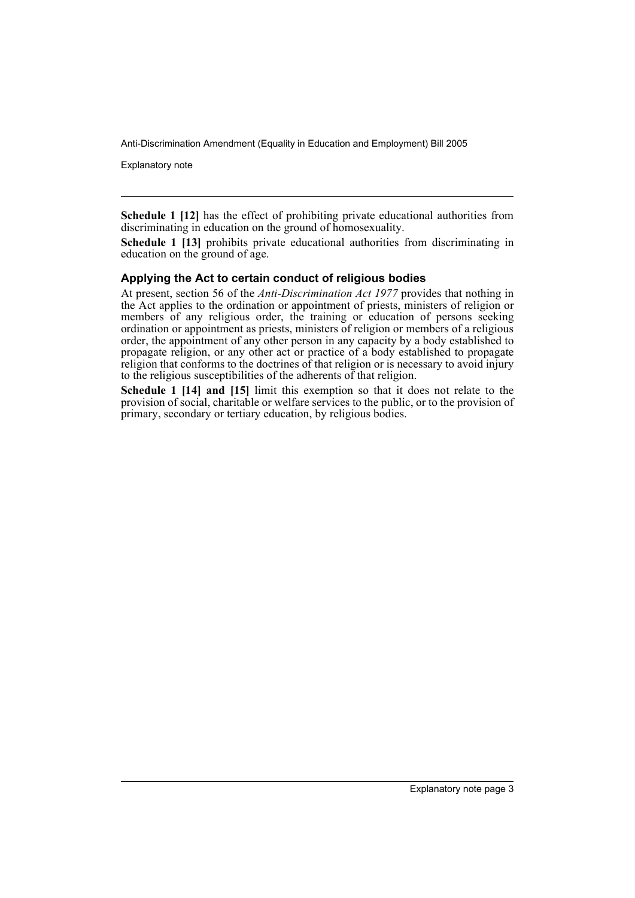Explanatory note

**Schedule 1 [12]** has the effect of prohibiting private educational authorities from discriminating in education on the ground of homosexuality.

**Schedule 1 [13]** prohibits private educational authorities from discriminating in education on the ground of age.

#### **Applying the Act to certain conduct of religious bodies**

At present, section 56 of the *Anti-Discrimination Act 1977* provides that nothing in the Act applies to the ordination or appointment of priests, ministers of religion or members of any religious order, the training or education of persons seeking ordination or appointment as priests, ministers of religion or members of a religious order, the appointment of any other person in any capacity by a body established to propagate religion, or any other act or practice of a body established to propagate religion that conforms to the doctrines of that religion or is necessary to avoid injury to the religious susceptibilities of the adherents of that religion.

**Schedule 1 [14] and [15]** limit this exemption so that it does not relate to the provision of social, charitable or welfare services to the public, or to the provision of primary, secondary or tertiary education, by religious bodies.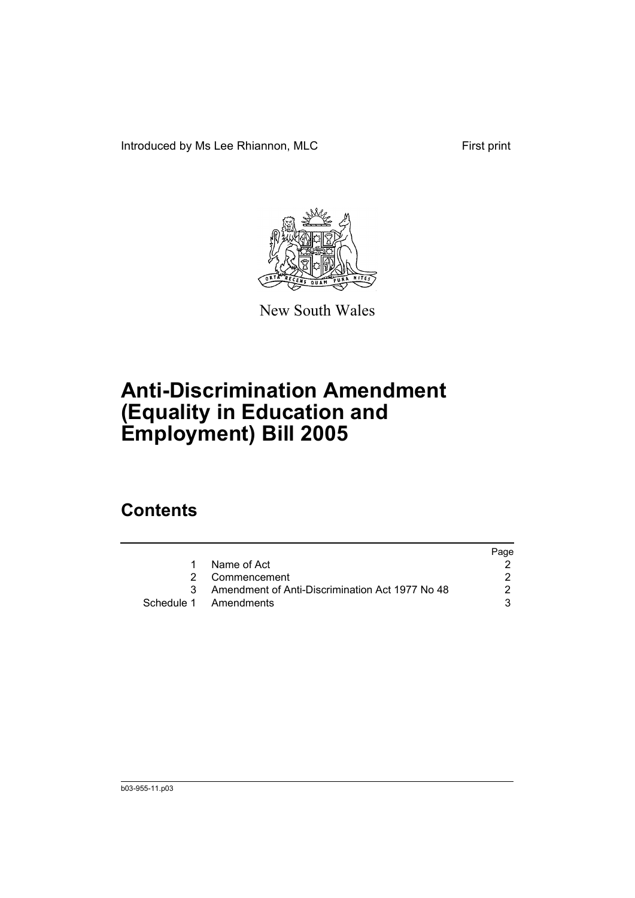Introduced by Ms Lee Rhiannon, MLC First print



New South Wales

# **Anti-Discrimination Amendment (Equality in Education and Employment) Bill 2005**

## **Contents**

|    |                                                   | Page |
|----|---------------------------------------------------|------|
| 1. | Name of Act                                       |      |
|    | 2 Commencement                                    |      |
|    | 3 Amendment of Anti-Discrimination Act 1977 No 48 |      |
|    | Schedule 1 Amendments                             |      |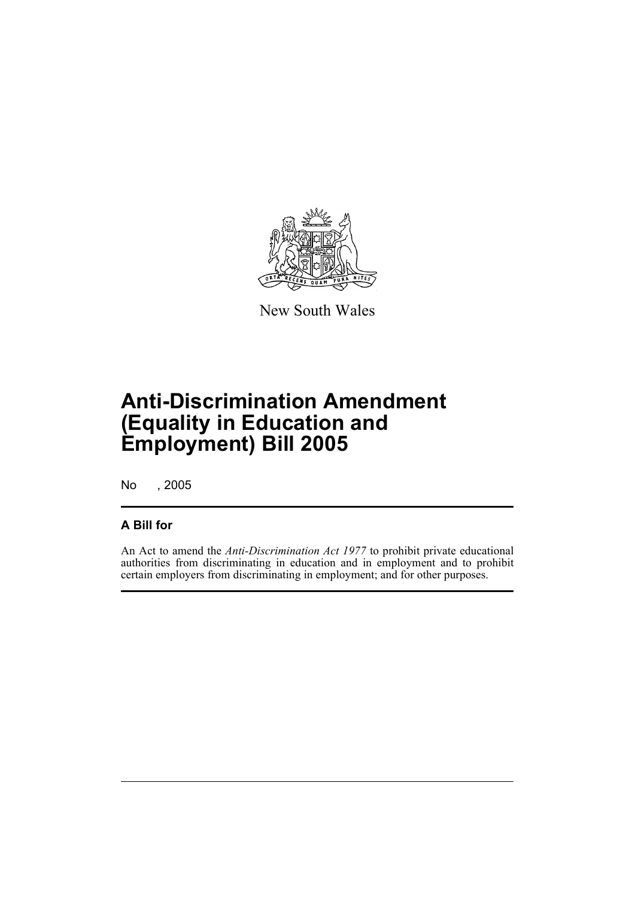

New South Wales

## **Anti-Discrimination Amendment (Equality in Education and Employment) Bill 2005**

No , 2005

### **A Bill for**

An Act to amend the *Anti-Discrimination Act 1977* to prohibit private educational authorities from discriminating in education and in employment and to prohibit certain employers from discriminating in employment; and for other purposes.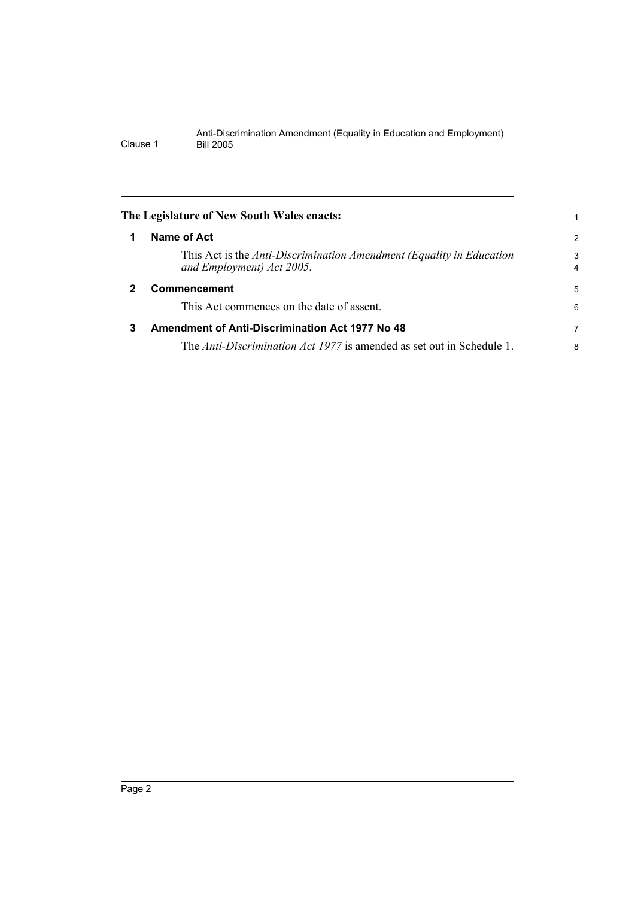<span id="page-7-2"></span><span id="page-7-1"></span><span id="page-7-0"></span>

|              | The Legislature of New South Wales enacts:                                                        |                     |
|--------------|---------------------------------------------------------------------------------------------------|---------------------|
|              | Name of Act                                                                                       | 2                   |
|              | This Act is the Anti-Discrimination Amendment (Equality in Education<br>and Employment) Act 2005. | 3<br>$\overline{4}$ |
| $\mathbf{2}$ | <b>Commencement</b>                                                                               | 5                   |
|              | This Act commences on the date of assent.                                                         | 6                   |
| 3            | <b>Amendment of Anti-Discrimination Act 1977 No 48</b>                                            | 7                   |
|              | The Anti-Discrimination Act 1977 is amended as set out in Schedule 1.                             | 8                   |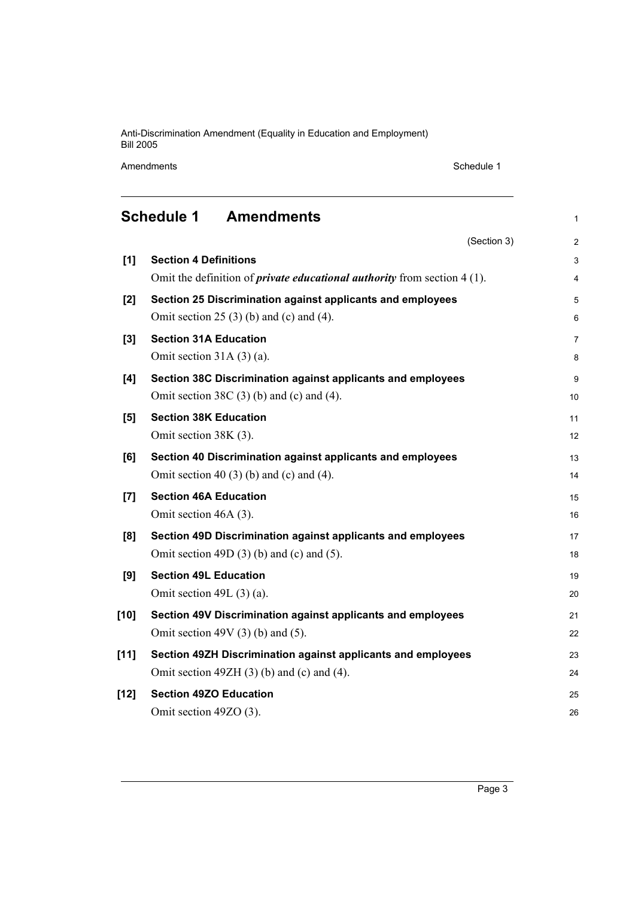Amendments Schedule 1

<span id="page-8-0"></span>

|        | <b>Schedule 1</b><br><b>Amendments</b>                                            | 1              |  |  |
|--------|-----------------------------------------------------------------------------------|----------------|--|--|
|        | (Section 3)                                                                       | $\overline{2}$ |  |  |
| [1]    | <b>Section 4 Definitions</b>                                                      | 3              |  |  |
|        | Omit the definition of <i>private educational authority</i> from section $4(1)$ . |                |  |  |
| [2]    | Section 25 Discrimination against applicants and employees                        |                |  |  |
|        | Omit section 25 $(3)$ (b) and (c) and (4).                                        | 6              |  |  |
| [3]    | <b>Section 31A Education</b>                                                      | 7              |  |  |
|        | Omit section $31A(3)(a)$ .                                                        | 8              |  |  |
| [4]    | Section 38C Discrimination against applicants and employees                       | 9              |  |  |
|        | Omit section 38C $(3)$ (b) and $(c)$ and $(4)$ .                                  | 10             |  |  |
| [5]    | <b>Section 38K Education</b>                                                      | 11             |  |  |
|        | Omit section 38K (3).                                                             | 12             |  |  |
| [6]    | Section 40 Discrimination against applicants and employees                        | 13             |  |  |
|        | Omit section 40 (3) (b) and (c) and (4).                                          | 14             |  |  |
| [7]    | <b>Section 46A Education</b>                                                      | 15             |  |  |
|        | Omit section 46A (3).                                                             | 16             |  |  |
| [8]    | Section 49D Discrimination against applicants and employees                       | 17             |  |  |
|        | Omit section 49D $(3)$ (b) and (c) and $(5)$ .                                    | 18             |  |  |
| [9]    | <b>Section 49L Education</b>                                                      | 19             |  |  |
|        | Omit section $49L(3)(a)$ .                                                        | 20             |  |  |
| $[10]$ | Section 49V Discrimination against applicants and employees                       | 21             |  |  |
|        | Omit section 49V $(3)$ (b) and $(5)$ .                                            | 22             |  |  |
| [11]   | Section 49ZH Discrimination against applicants and employees                      | 23             |  |  |
|        | Omit section 49ZH $(3)$ (b) and (c) and (4).                                      | 24             |  |  |
| $[12]$ | <b>Section 49ZO Education</b>                                                     | 25             |  |  |
|        | Omit section 49ZO (3).                                                            | 26             |  |  |